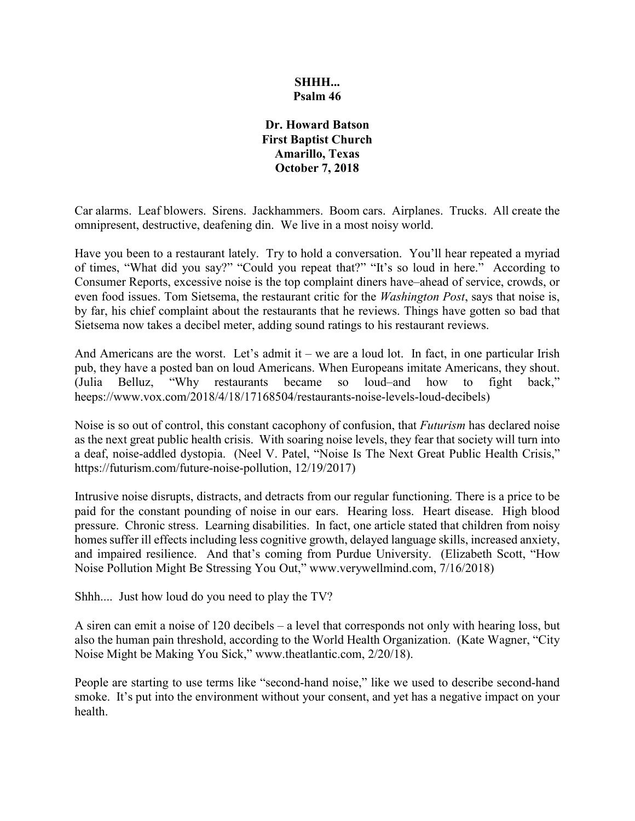### **SHHH... Psalm 46**

#### **Dr. Howard Batson First Baptist Church Amarillo, Texas October 7, 2018**

Car alarms. Leaf blowers. Sirens. Jackhammers. Boom cars. Airplanes. Trucks. All create the omnipresent, destructive, deafening din. We live in a most noisy world.

Have you been to a restaurant lately. Try to hold a conversation. You'll hear repeated a myriad of times, "What did you say?" "Could you repeat that?" "It's so loud in here." According to Consumer Reports, excessive noise is the top complaint diners have–ahead of service, crowds, or even food issues. Tom Sietsema, the restaurant critic for the *Washington Post*, says that noise is, by far, his chief complaint about the restaurants that he reviews. Things have gotten so bad that Sietsema now takes a decibel meter, adding sound ratings to his restaurant reviews.

And Americans are the worst. Let's admit it – we are a loud lot. In fact, in one particular Irish pub, they have a posted ban on loud Americans. When Europeans imitate Americans, they shout. (Julia Belluz, "Why restaurants became so loud–and how to fight back," heeps://www.vox.com/2018/4/18/17168504/restaurants-noise-levels-loud-decibels)

Noise is so out of control, this constant cacophony of confusion, that *Futurism* has declared noise as the next great public health crisis. With soaring noise levels, they fear that society will turn into a deaf, noise-addled dystopia. (Neel V. Patel, "Noise Is The Next Great Public Health Crisis," https://futurism.com/future-noise-pollution, 12/19/2017)

Intrusive noise disrupts, distracts, and detracts from our regular functioning. There is a price to be paid for the constant pounding of noise in our ears. Hearing loss. Heart disease. High blood pressure. Chronic stress. Learning disabilities. In fact, one article stated that children from noisy homes suffer ill effects including less cognitive growth, delayed language skills, increased anxiety, and impaired resilience. And that's coming from Purdue University. (Elizabeth Scott, "How Noise Pollution Might Be Stressing You Out," www.verywellmind.com, 7/16/2018)

Shhh.... Just how loud do you need to play the TV?

A siren can emit a noise of 120 decibels – a level that corresponds not only with hearing loss, but also the human pain threshold, according to the World Health Organization. (Kate Wagner, "City Noise Might be Making You Sick," www.theatlantic.com, 2/20/18).

People are starting to use terms like "second-hand noise," like we used to describe second-hand smoke. It's put into the environment without your consent, and yet has a negative impact on your health.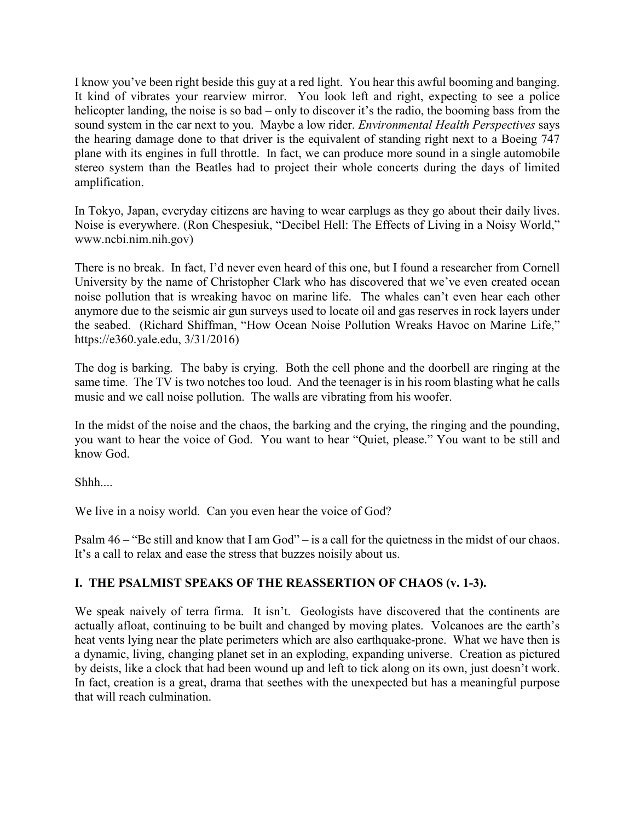I know you've been right beside this guy at a red light. You hear this awful booming and banging. It kind of vibrates your rearview mirror. You look left and right, expecting to see a police helicopter landing, the noise is so bad – only to discover it's the radio, the booming bass from the sound system in the car next to you. Maybe a low rider. *Environmental Health Perspectives* says the hearing damage done to that driver is the equivalent of standing right next to a Boeing 747 plane with its engines in full throttle. In fact, we can produce more sound in a single automobile stereo system than the Beatles had to project their whole concerts during the days of limited amplification.

In Tokyo, Japan, everyday citizens are having to wear earplugs as they go about their daily lives. Noise is everywhere. (Ron Chespesiuk, "Decibel Hell: The Effects of Living in a Noisy World," www.ncbi.nim.nih.gov)

There is no break. In fact, I'd never even heard of this one, but I found a researcher from Cornell University by the name of Christopher Clark who has discovered that we've even created ocean noise pollution that is wreaking havoc on marine life. The whales can't even hear each other anymore due to the seismic air gun surveys used to locate oil and gas reserves in rock layers under the seabed. (Richard Shiffman, "How Ocean Noise Pollution Wreaks Havoc on Marine Life," https://e360.yale.edu, 3/31/2016)

The dog is barking. The baby is crying. Both the cell phone and the doorbell are ringing at the same time. The TV is two notches too loud. And the teenager is in his room blasting what he calls music and we call noise pollution. The walls are vibrating from his woofer.

In the midst of the noise and the chaos, the barking and the crying, the ringing and the pounding, you want to hear the voice of God. You want to hear "Quiet, please." You want to be still and know God.

Shhh....

We live in a noisy world. Can you even hear the voice of God?

Psalm 46 – "Be still and know that I am God" – is a call for the quietness in the midst of our chaos. It's a call to relax and ease the stress that buzzes noisily about us.

### **I. THE PSALMIST SPEAKS OF THE REASSERTION OF CHAOS (v. 1-3).**

We speak naively of terra firma. It isn't. Geologists have discovered that the continents are actually afloat, continuing to be built and changed by moving plates. Volcanoes are the earth's heat vents lying near the plate perimeters which are also earthquake-prone. What we have then is a dynamic, living, changing planet set in an exploding, expanding universe. Creation as pictured by deists, like a clock that had been wound up and left to tick along on its own, just doesn't work. In fact, creation is a great, drama that seethes with the unexpected but has a meaningful purpose that will reach culmination.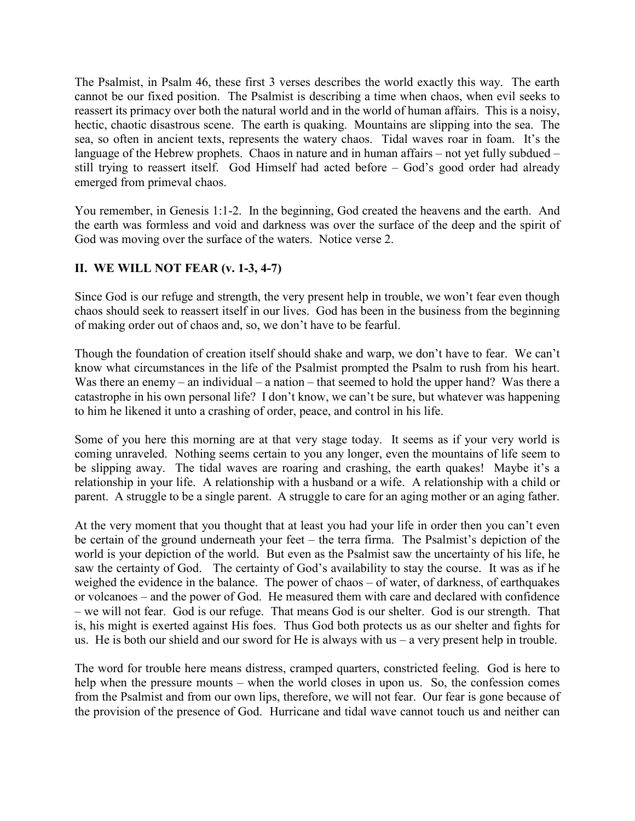The Psalmist, in Psalm 46, these first 3 verses describes the world exactly this way. The earth cannot be our fixed position. The Psalmist is describing a time when chaos, when evil seeks to reassert its primacy over both the natural world and in the world of human affairs. This is a noisy, hectic, chaotic disastrous scene. The earth is quaking. Mountains are slipping into the sea. The sea, so often in ancient texts, represents the watery chaos. Tidal waves roar in foam. It's the language of the Hebrew prophets. Chaos in nature and in human affairs – not yet fully subdued – still trying to reassert itself. God Himself had acted before – God's good order had already emerged from primeval chaos.

You remember, in Genesis 1:1-2. In the beginning, God created the heavens and the earth. And the earth was formless and void and darkness was over the surface of the deep and the spirit of God was moving over the surface of the waters. Notice verse 2.

# **II. WE WILL NOT FEAR (v. 1-3, 4-7)**

Since God is our refuge and strength, the very present help in trouble, we won't fear even though chaos should seek to reassert itself in our lives. God has been in the business from the beginning of making order out of chaos and, so, we don't have to be fearful.

Though the foundation of creation itself should shake and warp, we don't have to fear. We can't know what circumstances in the life of the Psalmist prompted the Psalm to rush from his heart. Was there an enemy – an individual – a nation – that seemed to hold the upper hand? Was there a catastrophe in his own personal life? I don't know, we can't be sure, but whatever was happening to him he likened it unto a crashing of order, peace, and control in his life.

Some of you here this morning are at that very stage today. It seems as if your very world is coming unraveled. Nothing seems certain to you any longer, even the mountains of life seem to be slipping away. The tidal waves are roaring and crashing, the earth quakes! Maybe it's a relationship in your life. A relationship with a husband or a wife. A relationship with a child or parent. A struggle to be a single parent. A struggle to care for an aging mother or an aging father.

At the very moment that you thought that at least you had your life in order then you can't even be certain of the ground underneath your feet – the terra firma. The Psalmist's depiction of the world is your depiction of the world. But even as the Psalmist saw the uncertainty of his life, he saw the certainty of God. The certainty of God's availability to stay the course. It was as if he weighed the evidence in the balance. The power of chaos – of water, of darkness, of earthquakes or volcanoes – and the power of God. He measured them with care and declared with confidence – we will not fear. God is our refuge. That means God is our shelter. God is our strength. That is, his might is exerted against His foes. Thus God both protects us as our shelter and fights for us. He is both our shield and our sword for He is always with us  $-$  a very present help in trouble.

The word for trouble here means distress, cramped quarters, constricted feeling. God is here to help when the pressure mounts – when the world closes in upon us. So, the confession comes from the Psalmist and from our own lips, therefore, we will not fear. Our fear is gone because of the provision of the presence of God. Hurricane and tidal wave cannot touch us and neither can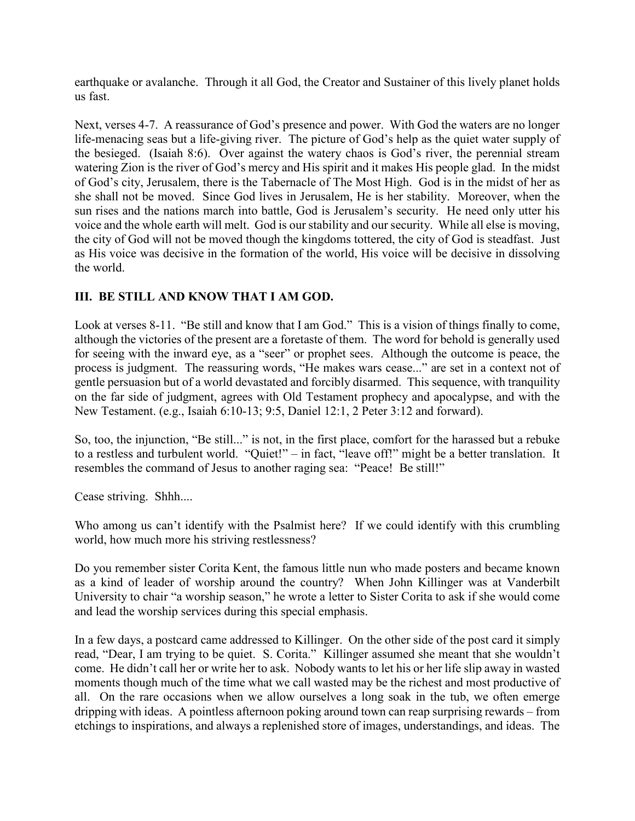earthquake or avalanche. Through it all God, the Creator and Sustainer of this lively planet holds us fast.

Next, verses 4-7. A reassurance of God's presence and power. With God the waters are no longer life-menacing seas but a life-giving river. The picture of God's help as the quiet water supply of the besieged. (Isaiah 8:6). Over against the watery chaos is God's river, the perennial stream watering Zion is the river of God's mercy and His spirit and it makes His people glad. In the midst of God's city, Jerusalem, there is the Tabernacle of The Most High. God is in the midst of her as she shall not be moved. Since God lives in Jerusalem, He is her stability. Moreover, when the sun rises and the nations march into battle, God is Jerusalem's security. He need only utter his voice and the whole earth will melt. God is our stability and our security. While all else is moving, the city of God will not be moved though the kingdoms tottered, the city of God is steadfast. Just as His voice was decisive in the formation of the world, His voice will be decisive in dissolving the world.

## **III. BE STILL AND KNOW THAT I AM GOD.**

Look at verses 8-11. "Be still and know that I am God." This is a vision of things finally to come, although the victories of the present are a foretaste of them. The word for behold is generally used for seeing with the inward eye, as a "seer" or prophet sees. Although the outcome is peace, the process is judgment. The reassuring words, "He makes wars cease..." are set in a context not of gentle persuasion but of a world devastated and forcibly disarmed. This sequence, with tranquility on the far side of judgment, agrees with Old Testament prophecy and apocalypse, and with the New Testament. (e.g., Isaiah 6:10-13; 9:5, Daniel 12:1, 2 Peter 3:12 and forward).

So, too, the injunction, "Be still..." is not, in the first place, comfort for the harassed but a rebuke to a restless and turbulent world. "Quiet!" – in fact, "leave off!" might be a better translation. It resembles the command of Jesus to another raging sea: "Peace! Be still!"

Cease striving. Shhh....

Who among us can't identify with the Psalmist here? If we could identify with this crumbling world, how much more his striving restlessness?

Do you remember sister Corita Kent, the famous little nun who made posters and became known as a kind of leader of worship around the country? When John Killinger was at Vanderbilt University to chair "a worship season," he wrote a letter to Sister Corita to ask if she would come and lead the worship services during this special emphasis.

In a few days, a postcard came addressed to Killinger. On the other side of the post card it simply read, "Dear, I am trying to be quiet. S. Corita." Killinger assumed she meant that she wouldn't come. He didn't call her or write her to ask. Nobody wants to let his or her life slip away in wasted moments though much of the time what we call wasted may be the richest and most productive of all. On the rare occasions when we allow ourselves a long soak in the tub, we often emerge dripping with ideas. A pointless afternoon poking around town can reap surprising rewards – from etchings to inspirations, and always a replenished store of images, understandings, and ideas. The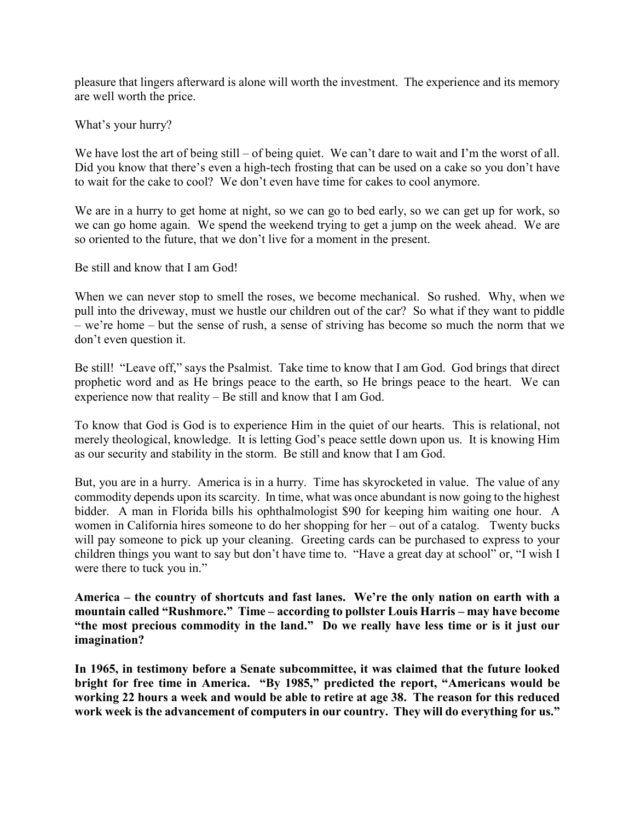pleasure that lingers afterward is alone will worth the investment. The experience and its memory are well worth the price.

What's your hurry?

We have lost the art of being still – of being quiet. We can't dare to wait and I'm the worst of all. Did you know that there's even a high-tech frosting that can be used on a cake so you don't have to wait for the cake to cool? We don't even have time for cakes to cool anymore.

We are in a hurry to get home at night, so we can go to bed early, so we can get up for work, so we can go home again. We spend the weekend trying to get a jump on the week ahead. We are so oriented to the future, that we don't live for a moment in the present.

Be still and know that I am God!

When we can never stop to smell the roses, we become mechanical. So rushed. Why, when we pull into the driveway, must we hustle our children out of the car? So what if they want to piddle – we're home – but the sense of rush, a sense of striving has become so much the norm that we don't even question it.

Be still! "Leave off," says the Psalmist. Take time to know that I am God. God brings that direct prophetic word and as He brings peace to the earth, so He brings peace to the heart. We can experience now that reality – Be still and know that I am God.

To know that God is God is to experience Him in the quiet of our hearts. This is relational, not merely theological, knowledge. It is letting God's peace settle down upon us. It is knowing Him as our security and stability in the storm. Be still and know that I am God.

But, you are in a hurry. America is in a hurry. Time has skyrocketed in value. The value of any commodity depends upon its scarcity. In time, what was once abundant is now going to the highest bidder. A man in Florida bills his ophthalmologist \$90 for keeping him waiting one hour. A women in California hires someone to do her shopping for her – out of a catalog. Twenty bucks will pay someone to pick up your cleaning. Greeting cards can be purchased to express to your children things you want to say but don't have time to. "Have a great day at school" or, "I wish I were there to tuck you in."

**America – the country of shortcuts and fast lanes. We're the only nation on earth with a mountain called "Rushmore." Time – according to pollster Louis Harris – may have become "the most precious commodity in the land." Do we really have less time or is it just our imagination?** 

**In 1965, in testimony before a Senate subcommittee, it was claimed that the future looked bright for free time in America. "By 1985," predicted the report, "Americans would be working 22 hours a week and would be able to retire at age 38. The reason for this reduced work week is the advancement of computers in our country. They will do everything for us."**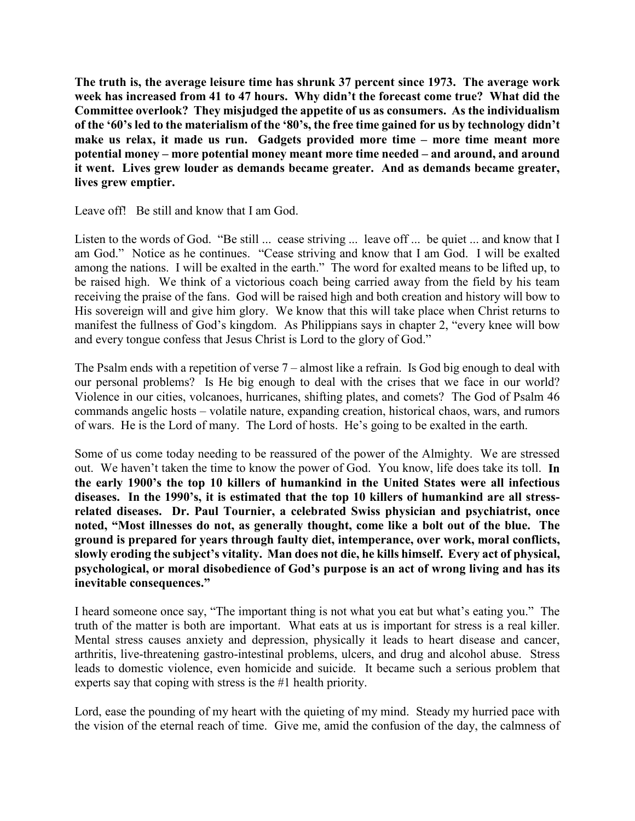**The truth is, the average leisure time has shrunk 37 percent since 1973. The average work week has increased from 41 to 47 hours. Why didn't the forecast come true? What did the Committee overlook? They misjudged the appetite of us as consumers. As the individualism of the '60's led to the materialism of the '80's, the free time gained for us by technology didn't make us relax, it made us run. Gadgets provided more time – more time meant more potential money – more potential money meant more time needed – and around, and around it went. Lives grew louder as demands became greater. And as demands became greater, lives grew emptier.** 

Leave off! Be still and know that I am God.

Listen to the words of God. "Be still ... cease striving ... leave off ... be quiet ... and know that I am God." Notice as he continues. "Cease striving and know that I am God. I will be exalted among the nations. I will be exalted in the earth." The word for exalted means to be lifted up, to be raised high. We think of a victorious coach being carried away from the field by his team receiving the praise of the fans. God will be raised high and both creation and history will bow to His sovereign will and give him glory. We know that this will take place when Christ returns to manifest the fullness of God's kingdom. As Philippians says in chapter 2, "every knee will bow and every tongue confess that Jesus Christ is Lord to the glory of God."

The Psalm ends with a repetition of verse 7 – almost like a refrain. Is God big enough to deal with our personal problems? Is He big enough to deal with the crises that we face in our world? Violence in our cities, volcanoes, hurricanes, shifting plates, and comets? The God of Psalm 46 commands angelic hosts – volatile nature, expanding creation, historical chaos, wars, and rumors of wars. He is the Lord of many. The Lord of hosts. He's going to be exalted in the earth.

Some of us come today needing to be reassured of the power of the Almighty. We are stressed out. We haven't taken the time to know the power of God. You know, life does take its toll. **In the early 1900's the top 10 killers of humankind in the United States were all infectious diseases. In the 1990's, it is estimated that the top 10 killers of humankind are all stressrelated diseases. Dr. Paul Tournier, a celebrated Swiss physician and psychiatrist, once noted, "Most illnesses do not, as generally thought, come like a bolt out of the blue. The ground is prepared for years through faulty diet, intemperance, over work, moral conflicts, slowly eroding the subject's vitality. Man does not die, he kills himself. Every act of physical, psychological, or moral disobedience of God's purpose is an act of wrong living and has its inevitable consequences."**

I heard someone once say, "The important thing is not what you eat but what's eating you." The truth of the matter is both are important. What eats at us is important for stress is a real killer. Mental stress causes anxiety and depression, physically it leads to heart disease and cancer, arthritis, live-threatening gastro-intestinal problems, ulcers, and drug and alcohol abuse. Stress leads to domestic violence, even homicide and suicide. It became such a serious problem that experts say that coping with stress is the #1 health priority.

Lord, ease the pounding of my heart with the quieting of my mind. Steady my hurried pace with the vision of the eternal reach of time. Give me, amid the confusion of the day, the calmness of